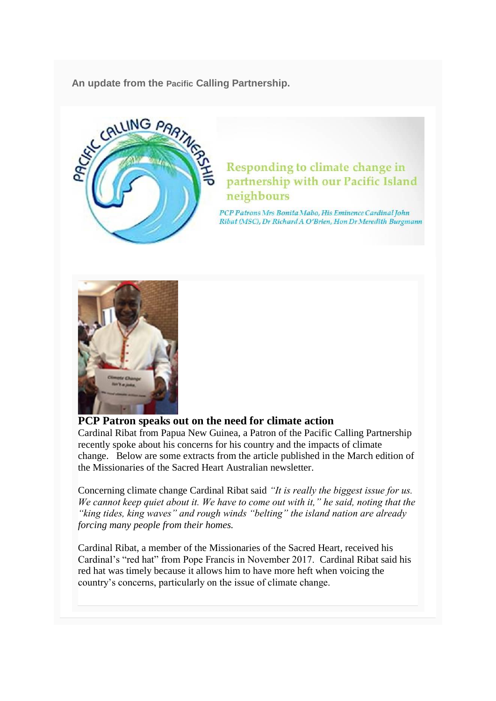**An update from the Pacific Calling Partnership.** 



Responding to climate change in partnership with our Pacific Island neighbours

PCP Patrons Mrs Bonita Mabo, His Eminence Cardinal John Ribat (MSC), Dr Richard A O'Brien, Hon Dr Meredith Burgmann



## **PCP Patron speaks out on the need for climate action**

Cardinal Ribat from Papua New Guinea, a Patron of the Pacific Calling Partnership recently spoke about his concerns for his country and the impacts of climate change. Below are some extracts from the article published in the March edition of the Missionaries of the Sacred Heart Australian newsletter.

Concerning climate change Cardinal Ribat said *"It is really the biggest issue for us. We cannot keep quiet about it. We have to come out with it," he said, noting that the "king tides, king waves" and rough winds "belting" the island nation are already forcing many people from their homes.*

Cardinal Ribat, a member of the Missionaries of the Sacred Heart, received his Cardinal's "red hat" from Pope Francis in November 2017. Cardinal Ribat said his red hat was timely because it allows him to have more heft when voicing the country's concerns, particularly on the issue of climate change.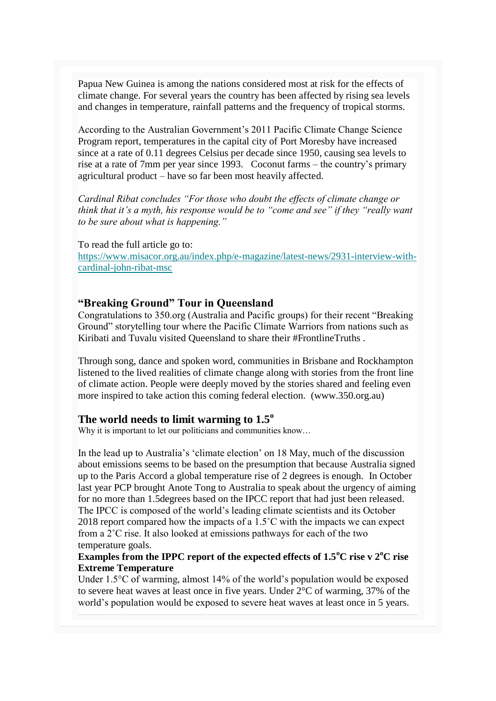Papua New Guinea is among the nations considered most at risk for the effects of climate change. For several years the country has been affected by rising sea levels and changes in temperature, rainfall patterns and the frequency of tropical storms.

According to the Australian Government's 2011 Pacific Climate Change Science Program report, temperatures in the capital city of Port Moresby have increased since at a rate of 0.11 degrees Celsius per decade since 1950, causing sea levels to rise at a rate of 7mm per year since 1993. Coconut farms – the country's primary agricultural product – have so far been most heavily affected.

*Cardinal Ribat concludes "For those who doubt the effects of climate change or think that it's a myth, his response would be to "come and see" if they "really want to be sure about what is happening."*

To read the full article go to: [https://www.misacor.org.au/index.php/e-magazine/latest-news/2931-interview-with](https://www.misacor.org.au/index.php/e-magazine/latest-news/2931-interview-with-cardinal-john-ribat-msc)[cardinal-john-ribat-msc](https://www.misacor.org.au/index.php/e-magazine/latest-news/2931-interview-with-cardinal-john-ribat-msc)

#### **"Breaking Ground" Tour in Queensland**

Congratulations to 350.org (Australia and Pacific groups) for their recent "Breaking Ground" storytelling tour where the Pacific Climate Warriors from nations such as Kiribati and Tuvalu visited Queensland to share their #FrontlineTruths .

Through song, dance and spoken word, communities in Brisbane and Rockhampton listened to the lived realities of climate change along with stories from the front line of climate action. People were deeply moved by the stories shared and feeling even more inspired to take action this coming federal election. (www.350.org.au)

# **The world needs to limit warming to 1.5<sup>o</sup>**

Why it is important to let our politicians and communities know…

In the lead up to Australia's 'climate election' on 18 May, much of the discussion about emissions seems to be based on the presumption that because Australia signed up to the Paris Accord a global temperature rise of 2 degrees is enough. In October last year PCP brought Anote Tong to Australia to speak about the urgency of aiming for no more than 1.5degrees based on the IPCC report that had just been released. The IPCC is composed of the world's leading climate scientists and its October 2018 report compared how the impacts of a 1.5˚C with the impacts we can expect from a 2˚C rise. It also looked at emissions pathways for each of the two temperature goals.

#### **Examples from the IPPC report of the expected effects of 1.5<sup>o</sup>C rise v 2<sup>o</sup>C rise Extreme Temperature**

Under 1.5°C of warming, almost 14% of the world's population would be exposed to severe heat waves at least once in five years. Under 2°C of warming, 37% of the world's population would be exposed to severe heat waves at least once in 5 years.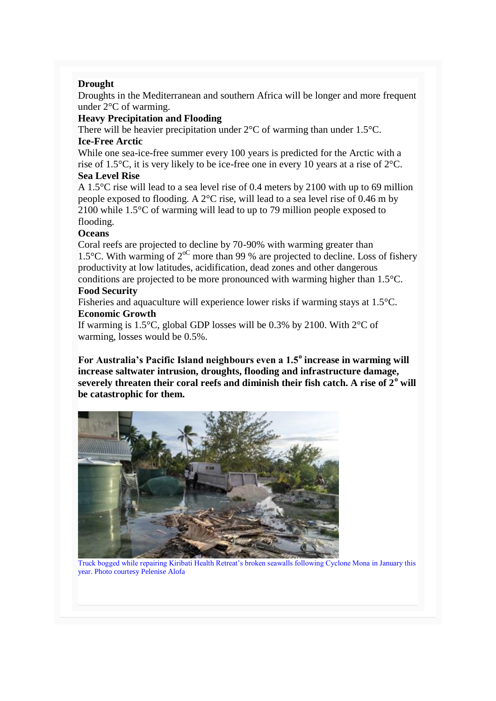## **Drought**

Droughts in the Mediterranean and southern Africa will be longer and more frequent under 2°C of warming.

# **Heavy Precipitation and Flooding**

There will be heavier precipitation under  $2^{\circ}$ C of warming than under 1.5°C. **Ice-Free Arctic**

While one sea-ice-free summer every 100 years is predicted for the Arctic with a rise of 1.5°C, it is very likely to be ice-free one in every 10 years at a rise of 2°C. **Sea Level Rise**

A 1.5°C rise will lead to a sea level rise of 0.4 meters by 2100 with up to 69 million people exposed to flooding. A  $2^{\circ}$ C rise, will lead to a sea level rise of 0.46 m by 2100 while 1.5°C of warming will lead to up to 79 million people exposed to flooding.

# **Oceans**

Coral reefs are projected to decline by 70-90% with warming greater than 1.5°C. With warming of  $2^{oC}$  more than 99 % are projected to decline. Loss of fishery productivity at low latitudes, acidification, dead zones and other dangerous conditions are projected to be more pronounced with warming higher than 1.5°C. **Food Security**

Fisheries and aquaculture will experience lower risks if warming stays at 1.5°C. **Economic Growth**

If warming is 1.5 $\degree$ C, global GDP losses will be 0.3% by 2100. With 2 $\degree$ C of warming, losses would be 0.5%.

**For Australia's Pacific Island neighbours even a 1.5<sup>o</sup> increase in warming will increase saltwater intrusion, droughts, flooding and infrastructure damage, severely threaten their coral reefs and diminish their fish catch. A rise of 2<sup>o</sup> will be catastrophic for them.**



Truck bogged while repairing Kiribati Health Retreat's broken seawalls following Cyclone Mona in January this year. Photo courtesy Pelenise Alofa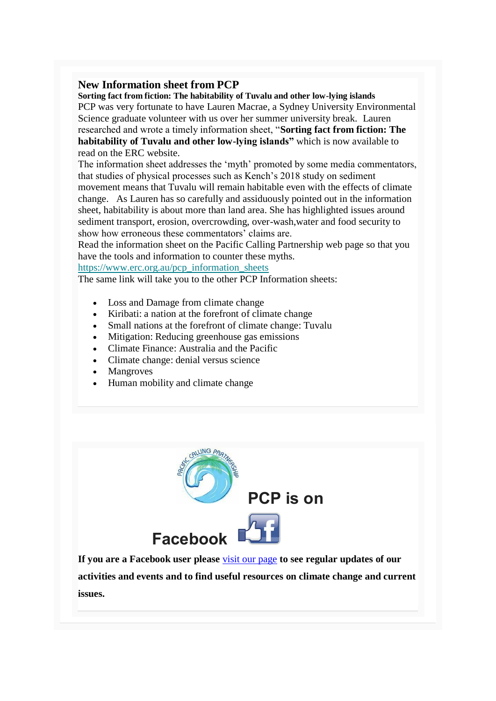## **New Information sheet from PCP**

**Sorting fact from fiction: The habitability of Tuvalu and other low-lying islands** PCP was very fortunate to have Lauren Macrae, a Sydney University Environmental Science graduate volunteer with us over her summer university break. Lauren researched and wrote a timely information sheet, "**Sorting fact from fiction: The habitability of Tuvalu and other low-lying islands"** which is now available to read on the ERC website.

The information sheet addresses the 'myth' promoted by some media commentators, that studies of physical processes such as Kench's 2018 study on sediment movement means that Tuvalu will remain habitable even with the effects of climate change. As Lauren has so carefully and assiduously pointed out in the information sheet, habitability is about more than land area. She has highlighted issues around sediment transport, erosion, overcrowding, over-wash,water and food security to show how erroneous these commentators' claims are.

Read the information sheet on the Pacific Calling Partnership web page so that you have the tools and information to counter these myths.

[https://www.erc.org.au/pcp\\_information\\_sheets](https://www.erc.org.au/pcp_information_sheets)

The same link will take you to the other PCP Information sheets:

- Loss and Damage from climate change
- Kiribati: a nation at the forefront of climate change
- Small nations at the forefront of climate change: Tuvalu
- Mitigation: Reducing greenhouse gas emissions
- Climate Finance: Australia and the Pacific
- Climate change: denial versus science
- Mangroves
- Human mobility and climate change



**If you are a Facebook user please** [visit our page](https://www.facebook.com/PacificCallingPartnership/) **to see regular updates of our activities and events and to find useful resources on climate change and current issues.**